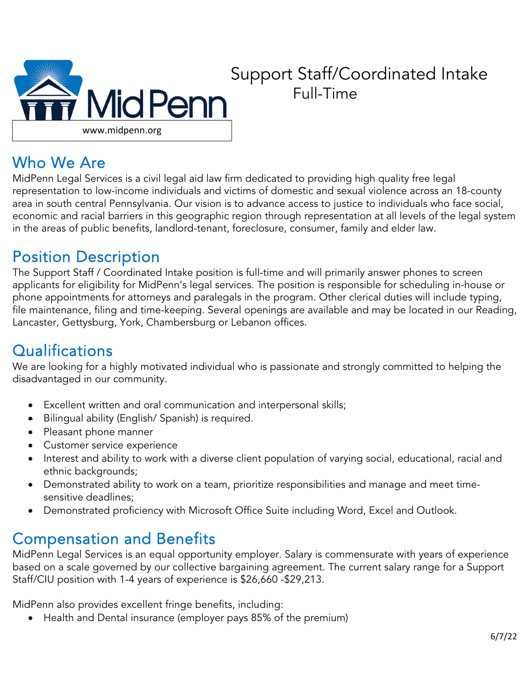

# Support Staff/Coordinated Intake Full-Time

### Who We Are

MidPenn Legal Services is a civil legal aid law firm dedicated to providing high quality free legal representation to low-income individuals and victims of domestic and sexual violence across an 18-county area in south central Pennsylvania. Our vision is to advance access to justice to individuals who face social, economic and racial barriers in this geographic region through representation at all levels of the legal system in the areas of public benefits, landlord-tenant, foreclosure, consumer, family and elder law.

### Position Description

The Support Staff / Coordinated Intake position is full-time and will primarily answer phones to screen applicants for eligibility for MidPenn's legal services. The position is responsible for scheduling in-house or phone appointments for attorneys and paralegals in the program. Other clerical duties will include typing, file maintenance, filing and time-keeping. Several openings are available and may be located in our Reading, Lancaster, Gettysburg, York, Chambersburg or Lebanon offices.

# **Qualifications**

We are looking for a highly motivated individual who is passionate and strongly committed to helping the disadvantaged in our community.

- Excellent written and oral communication and interpersonal skills;
- Bilingual ability (English/ Spanish) is required.
- Pleasant phone manner
- Customer service experience
- Interest and ability to work with a diverse client population of varying social, educational, racial and ethnic backgrounds;
- Demonstrated ability to work on a team, prioritize responsibilities and manage and meet timesensitive deadlines;
- Demonstrated proficiency with Microsoft Office Suite including Word, Excel and Outlook.

# Compensation and Benefits

MidPenn Legal Services is an equal opportunity employer. Salary is commensurate with years of experience based on a scale governed by our collective bargaining agreement. The current salary range for a Support Staff/CIU position with 1-4 years of experience is \$26,660 -\$29,213.

MidPenn also provides excellent fringe benefits, including:

• Health and Dental insurance (employer pays 85% of the premium)